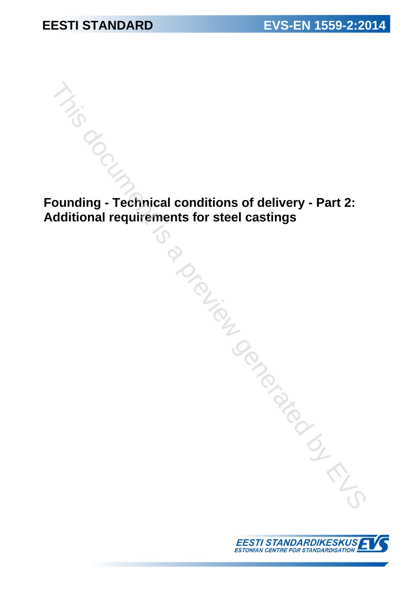**Founding - Technical conditions of delivery - Part 2: Additional requirements for steel castings** This document is for steel castings<br>
Counting - Technical conditions of delivery - Part 2:<br>
dditional requirements for steel castings<br>
Conditions<br>
Conditions<br>
Conditions<br>
Conditions<br>
Conditions<br>
Conditions<br>
Conditions<br>
Con

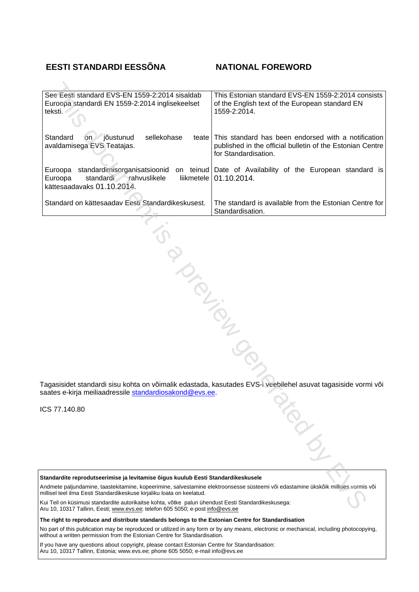### **EESTI STANDARDI EESSÕNA NATIONAL FOREWORD**

| See Eesti standard EVS-EN 1559-2:2014 sisaldab<br>Euroopa standardi EN 1559-2:2014 inglisekeelset<br>teksti.                                                                                                                                                    | This Estonian standard EVS-EN 1559-2:2014 consists<br>of the English text of the European standard EN<br>1559-2:2014.                    |
|-----------------------------------------------------------------------------------------------------------------------------------------------------------------------------------------------------------------------------------------------------------------|------------------------------------------------------------------------------------------------------------------------------------------|
| Standard<br>jõustunud<br>sellekohase<br><b>on</b><br>teate<br>avaldamisega EVS Teatajas.                                                                                                                                                                        | This standard has been endorsed with a notification<br>published in the official bulletin of the Estonian Centre<br>for Standardisation. |
| standardimisorganisatsioonid<br>Euroopa<br>Euroopa<br>standardi<br>rahvuslikele<br>liikmetele<br>kättesaadavaks 01.10.2014.                                                                                                                                     | on teinud Date of Availability of the European standard is<br>01.10.2014.                                                                |
| Standard on kättesaadav Eesti Standardikeskusest.                                                                                                                                                                                                               | The standard is available from the Estonian Centre for<br>Standardisation.                                                               |
|                                                                                                                                                                                                                                                                 |                                                                                                                                          |
| PIONTES                                                                                                                                                                                                                                                         |                                                                                                                                          |
| saates e-kirja meiliaadressile standardiosakond@evs.ee.<br>CS 77.140.80                                                                                                                                                                                         | Tagasisidet standardi sisu kohta on võimalik edastada, kasutades EVS-i veebilehel asuvat tagasiside vormi või<br>ARGIC                   |
|                                                                                                                                                                                                                                                                 |                                                                                                                                          |
| Standardite reprodutseerimise ja levitamise õigus kuulub Eesti Standardikeskusele<br>Andmete paljundamine, taastekitamine, kopeerimine, salvestamine elektroonsesse süsteemi või edastamine ükskõik millises vormis või                                         |                                                                                                                                          |
| millisel teel ilma Eesti Standardikeskuse kirjaliku loata on keelatud.<br>Kui Teil on küsimusi standardite autorikaitse kohta, võtke palun ühendust Eesti Standardikeskusega:<br>Aru 10, 10317 Tallinn, Eesti: www.eys.ee: telefon 605 5050; e-post info@eys.ee |                                                                                                                                          |

ICS 77.140.80

Aru 10, 10317 Tallinn, Eesti; www.evs.ee; telefon 605 5050; e-post info@evs.ee

**The right to reproduce and distribute standards belongs to the Estonian Centre for Standardisation**

No part of this publication may be reproduced or utilized in any form or by any means, electronic or mechanical, including photocopying, without a written permission from the Estonian Centre for Standardisation.

If you have any questions about copyright, please contact Estonian Centre for Standardisation: Aru 10, 10317 Tallinn, Estonia; [www.evs.ee](http://www.evs.ee); phone 605 5050; e-mail info@evs.ee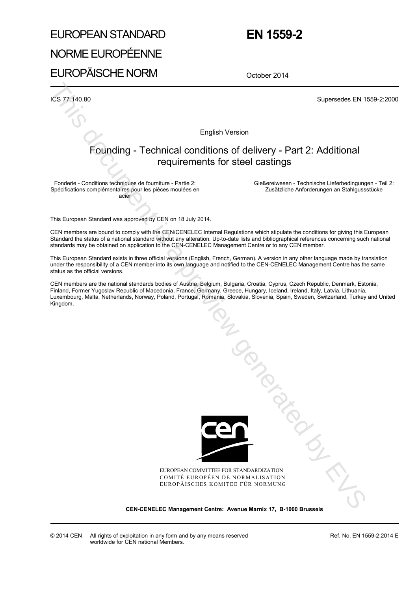# EUROPEAN STANDARD

## **EN 1559-2**

# NORME EUROPÉENNE

EUROPÄISCHE NORM

October 2014

ICS 77.140.80 Supersedes EN 1559-2:2000

English Version

### Founding - Technical conditions of delivery - Part 2: Additional requirements for steel castings

Fonderie - Conditions techniques de fourniture - Partie 2: Spécifications complémentaires pour les pièces moulées en acier

 Gießereiwesen - Technische Lieferbedingungen - Teil 2: Zusätzliche Anforderungen an Stahlgussstücke

This European Standard was approved by CEN on 18 July 2014.

CEN members are bound to comply with the CEN/CENELEC Internal Regulations which stipulate the conditions for giving this European Standard the status of a national standard without any alteration. Up-to-date lists and bibliographical references concerning such national standards may be obtained on application to the CEN-CENELEC Management Centre or to any CEN member.

This European Standard exists in three official versions (English, French, German). A version in any other language made by translation under the responsibility of a CEN member into its own language and notified to the CEN-CENELEC Management Centre has the same status as the official versions.

CEN members are the national standards bodies of Austria, Belgium, Bulgaria, Croatia, Cyprus, Czech Republic, Denmark, Estonia, Finland, Former Yugoslav Republic of Macedonia, France, Germany, Greece, Hungary, Iceland, Ireland, Italy, Latvia, Lithuania, Luxembourg, Malta, Netherlands, Norway, Poland, Portugal, Romania, Slovakia, Slovenia, Spain, Sweden, Switzerland, Turkey and United Kingdom.



EUROPEAN COMMITTEE FOR STANDARDIZATION COMITÉ EUROPÉEN DE NORMALISATION EUROPÄISCHES KOMITEE FÜR NORMUNG

**CEN-CENELEC Management Centre: Avenue Marnix 17, B-1000 Brussels**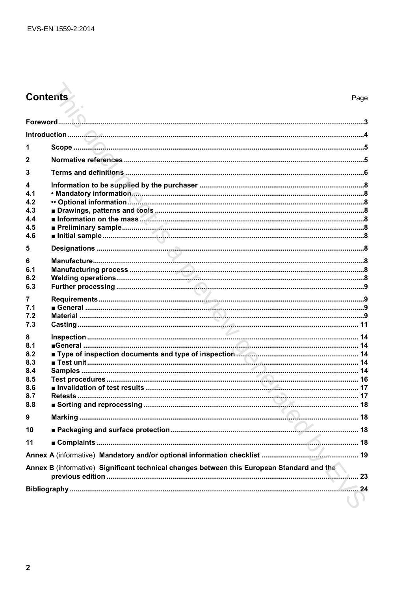# **Contents**

| 2                                                                                          |                                  |    |  |
|--------------------------------------------------------------------------------------------|----------------------------------|----|--|
| 3                                                                                          |                                  |    |  |
| 4<br>4.1<br>4.2<br>4.3<br>4.4<br>4.5<br>4.6                                                |                                  |    |  |
| 5                                                                                          |                                  |    |  |
| 6<br>6.1<br>6.2<br>6.3                                                                     |                                  |    |  |
| 7<br>7.1<br>7.2<br>7.3                                                                     |                                  |    |  |
| 8<br>8.1<br>8.2<br>8.3<br>8.4<br>8.5<br>8.6<br>8.7<br>8.8                                  |                                  |    |  |
| 9                                                                                          |                                  |    |  |
| 10                                                                                         | Packaging and surface protection | 18 |  |
| 11                                                                                         |                                  |    |  |
|                                                                                            |                                  |    |  |
| Annex B (informative) Significant technical changes between this European Standard and the |                                  |    |  |
|                                                                                            |                                  |    |  |
|                                                                                            |                                  |    |  |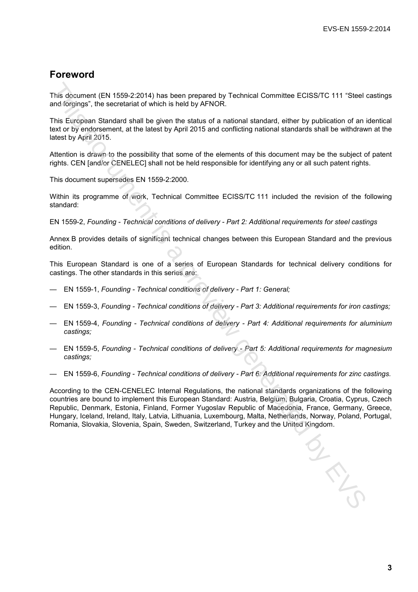### **Foreword**

This document (EN 1559-2:2014) has been prepared by Technical Committee ECISS/TC 111 "Steel castings and forgings", the secretariat of which is held by AFNOR.

This European Standard shall be given the status of a national standard, either by publication of an identical text or by endorsement, at the latest by April 2015 and conflicting national standards shall be withdrawn at the latest by April 2015.

Attention is drawn to the possibility that some of the elements of this document may be the subject of patent rights. CEN [and/or CENELEC] shall not be held responsible for identifying any or all such patent rights.

This document supersedes EN 1559-2:2000.

Within its programme of work, Technical Committee ECISS/TC 111 included the revision of the following standard:

EN 1559-2, *Founding - Technical conditions of delivery - Part 2: Additional requirements for steel castings*

Annex B provides details of significant technical changes between this European Standard and the previous edition.

This European Standard is one of a series of European Standards for technical delivery conditions for castings. The other standards in this series are:

- EN 1559-1, *Founding Technical conditions of delivery Part 1: General;*
- EN 1559-3, *Founding Technical conditions of delivery Part 3: Additional requirements for iron castings;*
- EN 1559-4, *Founding Technical conditions of delivery Part 4: Additional requirements for aluminium castings;*
- EN 1559-5, *Founding Technical conditions of delivery Part 5: Additional requirements for magnesium castings;*
- EN 1559-6, *Founding Technical conditions of delivery Part 6: Additional requirements for zinc castings.*

According to the CEN-CENELEC Internal Regulations, the national standards organizations of the following countries are bound to implement this European Standard: Austria, Belgium, Bulgaria, Croatia, Cyprus, Czech Republic, Denmark, Estonia, Finland, Former Yugoslav Republic of Macedonia, France, Germany, Greece, Hungary, Iceland, Ireland, Italy, Latvia, Lithuania, Luxembourg, Malta, Netherlands, Norway, Poland, Portugal, Romania, Slovakia, Slovenia, Spain, Sweden, Switzerland, Turkey and the United Kingdom. This document (EN 1559-2:2014) has been prepared by Technical Committee ECISS/TC 111 "Steel<br>and förgings", the secretariat of which is held by AFNOR.<br>This European Standard virticle is and by AFNOR.<br>This European Standard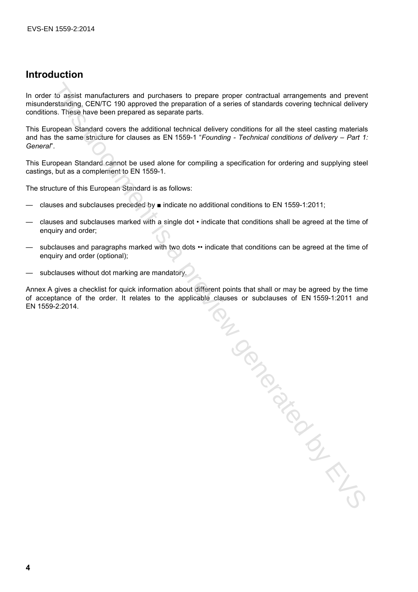## **Introduction**

In order to assist manufacturers and purchasers to prepare proper contractual arrangements and prevent misunderstanding, CEN/TC 190 approved the preparation of a series of standards covering technical delivery conditions. These have been prepared as separate parts.

This European Standard covers the additional technical delivery conditions for all the steel casting materials and has the same structure for clauses as EN 1559-1 "*Founding - Technical conditions of delivery – Part 1: General*".

This European Standard cannot be used alone for compiling a specification for ordering and supplying steel castings, but as a complement to EN 1559-1.

The structure of this European Standard is as follows:

- clauses and subclauses preceded by indicate no additional conditions to EN 1559-1:2011;
- clauses and subclauses marked with a single dot indicate that conditions shall be agreed at the time of enquiry and order;
- subclauses and paragraphs marked with two dots •• indicate that conditions can be agreed at the time of enquiry and order (optional);
- subclauses without dot marking are mandatory.

Annex A gives a checklist for quick information about different points that shall or may be agreed by the time of acceptance of the order. It relates to the applicable clauses or subclauses of EN 1559-1:2011 and EN 1559-2:2014.

Top diameter is a previous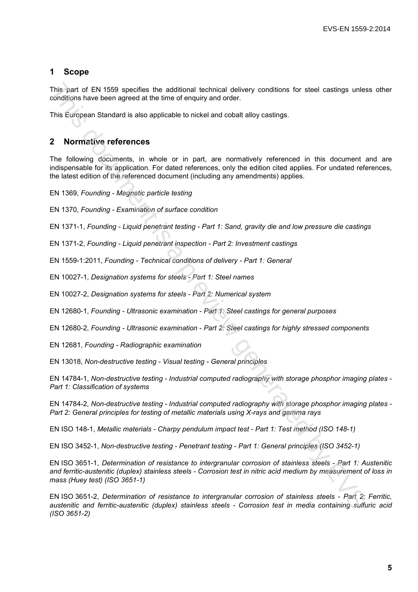### **1 Scope**

This part of EN 1559 specifies the additional technical delivery conditions for steel castings unless other conditions have been agreed at the time of enquiry and order.

This European Standard is also applicable to nickel and cobalt alloy castings.

### **2 Normative references**

The following documents, in whole or in part, are normatively referenced in this document and are indispensable for its application. For dated references, only the edition cited applies. For undated references, the latest edition of the referenced document (including any amendments) applies.

EN 1369, *Founding - Magnetic particle testing*

EN 1370, *Founding - Examination of surface condition*

EN 1371-1, *Founding - Liquid penetrant testing - Part 1: Sand, gravity die and low pressure die castings*

EN 1371-2, *Founding - Liquid penetrant inspection - Part 2: Investment castings*

EN 1559-1:2011, *Founding - Technical conditions of delivery - Part 1: General*

EN 10027-1, *Designation systems for steels - Part 1: Steel names*

EN 10027-2, *Designation systems for steels - Part 2: Numerical system*

EN 12680-1, *Founding - Ultrasonic examination - Part 1: Steel castings for general purposes*

EN 12680-2, *Founding - Ultrasonic examination - Part 2: Steel castings for highly stressed components*

EN 12681, *Founding - Radiographic examination*

EN 13018, *Non-destructive testing - Visual testing - General principles*

EN 14784-1, *Non-destructive testing - Industrial computed radiography with storage phosphor imaging plates - Part 1: Classification of systems*

EN 14784-2, *Non-destructive testing - Industrial computed radiography with storage phosphor imaging plates - Part 2: General principles for testing of metallic materials using X-rays and gamma rays*

EN ISO 148-1, *Metallic materials - Charpy pendulum impact test - Part 1: Test method (ISO 148-1)*

EN ISO 3452-1, *Non-destructive testing - Penetrant testing - Part 1: General principles (ISO 3452-1)*

EN ISO 3651-1, *Determination of resistance to intergranular corrosion of stainless steels - Part 1: Austenitic and ferritic-austenitic (duplex) stainless steels - Corrosion test in nitric acid medium by measurement of loss in mass (Huey test) (ISO 3651-1)* This part of EN13593 specifies the additional technical delivery conditions for steel castings unies<br>conditions have been appress of the firm of enquiry and order.<br>This European Standard Is also applicable to nickel and co

EN ISO 3651-2, *Determination of resistance to intergranular corrosion of stainless steels - Part 2: Ferritic, austenitic and ferritic-austenitic (duplex) stainless steels - Corrosion test in media containing sulfuric acid (ISO 3651-2)*